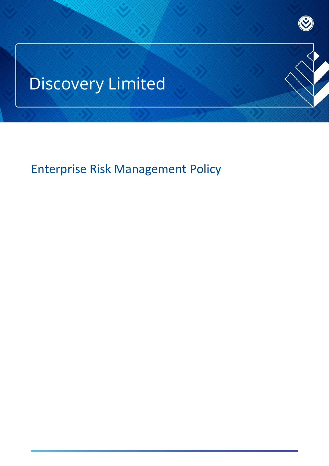# Discovery Limited

Enterprise Risk Management Policy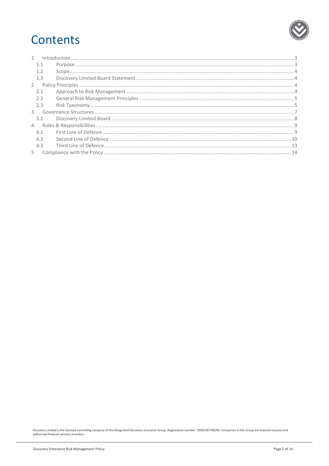## Contents

|                | $\int_0^{\pi} \frac{1}{2} \int_0^{\pi} \frac{1}{2} \int_0^{\pi} \frac{1}{2} \int_0^{\pi} \frac{1}{2} \int_0^{\pi} \frac{1}{2} \int_0^{\pi} \frac{1}{2} \int_0^{\pi} \frac{1}{2} \int_0^{\pi} \frac{1}{2} \int_0^{\pi} \frac{1}{2} \int_0^{\pi} \frac{1}{2} \int_0^{\pi} \frac{1}{2} \int_0^{\pi} \frac{1}{2} \int_0^{\pi} \frac{1}{2} \int_0^{\pi} \frac{1}{2} \int_0^{\pi} \frac$ |  |
|----------------|------------------------------------------------------------------------------------------------------------------------------------------------------------------------------------------------------------------------------------------------------------------------------------------------------------------------------------------------------------------------------------|--|
| 1.1            |                                                                                                                                                                                                                                                                                                                                                                                    |  |
|                |                                                                                                                                                                                                                                                                                                                                                                                    |  |
| 1.3            |                                                                                                                                                                                                                                                                                                                                                                                    |  |
|                |                                                                                                                                                                                                                                                                                                                                                                                    |  |
| 2.1            |                                                                                                                                                                                                                                                                                                                                                                                    |  |
| 2.2            |                                                                                                                                                                                                                                                                                                                                                                                    |  |
| 2.3            |                                                                                                                                                                                                                                                                                                                                                                                    |  |
| $\mathcal{R}$  |                                                                                                                                                                                                                                                                                                                                                                                    |  |
| 3.1            |                                                                                                                                                                                                                                                                                                                                                                                    |  |
| $\overline{4}$ |                                                                                                                                                                                                                                                                                                                                                                                    |  |
| 41             |                                                                                                                                                                                                                                                                                                                                                                                    |  |
| 4.2            |                                                                                                                                                                                                                                                                                                                                                                                    |  |
| 4.3            |                                                                                                                                                                                                                                                                                                                                                                                    |  |
| $5 -$          |                                                                                                                                                                                                                                                                                                                                                                                    |  |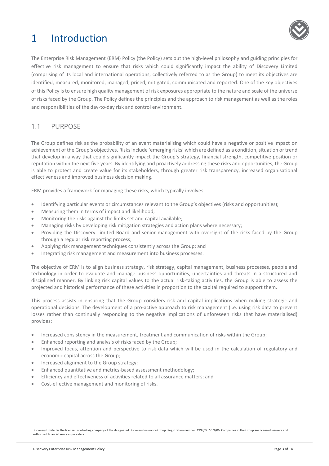## <span id="page-2-0"></span>1 Introduction



The Enterprise Risk Management (ERM) Policy (the Policy) sets out the high-level philosophy and guiding principles for effective risk management to ensure that risks which could significantly impact the ability of Discovery Limited (comprising of its local and international operations, collectively referred to as the Group) to meet its objectives are identified, measured, monitored, managed, priced, mitigated, communicated and reported. One of the key objectives of this Policy is to ensure high quality management of risk exposures appropriate to the nature and scale of the universe of risks faced by the Group. The Policy defines the principles and the approach to risk management as well as the roles and responsibilities of the day-to-day risk and control environment.

#### <span id="page-2-1"></span>1.1 PURPOSE

The Group defines risk as the probability of an event materialising which could have a negative or positive impact on achievement of the Group's objectives. Risks include 'emerging risks' which are defined as a condition, situation or trend that develop in a way that could significantly impact the Group's strategy, financial strength, competitive position or reputation within the next five years. By identifying and proactively addressing these risks and opportunities, the Group is able to protect and create value for its stakeholders, through greater risk transparency, increased organisational effectiveness and improved business decision making.

ERM provides a framework for managing these risks, which typically involves:

- Identifying particular events or circumstances relevant to the Group's objectives (risks and opportunities);
- Measuring them in terms of impact and likelihood;
- Monitoring the risks against the limits set and capital available;
- Managing risks by developing risk mitigation strategies and action plans where necessary;
- Providing the Discovery Limited Board and senior management with oversight of the risks faced by the Group through a regular risk reporting process;
- Applying risk management techniques consistently across the Group; and
- Integrating risk management and measurement into business processes.

The objective of ERM is to align business strategy, risk strategy, capital management, business processes, people and technology in order to evaluate and manage business opportunities, uncertainties and threats in a structured and disciplined manner. By linking risk capital values to the actual risk-taking activities, the Group is able to assess the projected and historical performance of these activities in proportion to the capital required to support them.

This process assists in ensuring that the Group considers risk and capital implications when making strategic and operational decisions. The development of a pro-active approach to risk management (i.e. using risk data to prevent losses rather than continually responding to the negative implications of unforeseen risks that have materialised) provides:

- Increased consistency in the measurement, treatment and communication of risks within the Group;
- Enhanced reporting and analysis of risks faced by the Group;
- Improved focus, attention and perspective to risk data which will be used in the calculation of regulatory and economic capital across the Group;
- Increased alignment to the Group strategy;
- Enhanced quantitative and metrics-based assessment methodology;
- Efficiency and effectiveness of activities related to all assurance matters; and
- <span id="page-2-2"></span>Cost-effective management and monitoring of risks.

Discovery Limited is the licensed controlling company of the designated Discovery Insurance Group. Registration number: 1999/007789/06. Companies in the Group are licensed insurers and authorised financial services providers.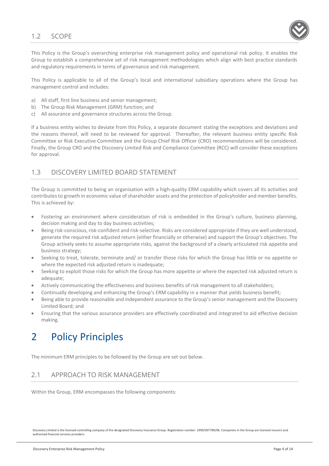#### 1.2 SCOPE



This Policy is the Group's overarching enterprise risk management policy and operational risk policy. It enables the Group to establish a comprehensive set of risk management methodologies which align with best practice standards and regulatory requirements in terms of governance and risk management.

This Policy is applicable to all of the Group's local and international subsidiary operations where the Group has management control and includes:

- a) All staff, first line business and senior management;
- b) The Group Risk Management (GRM) function; and
- c) All assurance and governance structures across the Group.

If a business entity wishes to deviate from this Policy, a separate document stating the exceptions and deviations and the reasons thereof, will need to be reviewed for approval. Thereafter, the relevant business entity specific Risk Committee or Risk Executive Committee and the Group Chief Risk Officer (CRO) recommendations will be considered. Finally, the Group CRO and the Discovery Limited Risk and Compliance Committee (RCC) will consider these exceptions for approval.

#### <span id="page-3-0"></span>1.3 DISCOVERY LIMITED BOARD STATEMENT

The Group is committed to being an organisation with a high-quality ERM capability which covers all its activities and contributes to growth in economic value of shareholder assets and the protection of policyholder and member benefits. This is achieved by:

- Fostering an environment where consideration of risk is embedded in the Group's culture, business planning, decision making and day to day business activities;
- Being risk-conscious, risk-confident and risk-selective. Risks are considered appropriate if they are well understood, generate the required risk adjusted return (either financially or otherwise) and support the Group's objectives. The Group actively seeks to assume appropriate risks, against the background of a clearly articulated risk appetite and business strategy;
- Seeking to treat, tolerate, terminate and/ or transfer those risks for which the Group has little or no appetite or where the expected risk adjusted return is inadequate;
- Seeking to exploit those risks for which the Group has more appetite or where the expected risk adjusted return is adequate;
- Actively communicating the effectiveness and business benefits of risk management to all stakeholders;
- Continually developing and enhancing the Group's ERM capability in a manner that yields business benefit;
- Being able to provide reasonable and independent assurance to the Group's senior management and the Discovery Limited Board; and
- Ensuring that the various assurance providers are effectively coordinated and integrated to aid effective decision making.

## <span id="page-3-1"></span>2 Policy Principles

<span id="page-3-2"></span>The minimum ERM principles to be followed by the Group are set out below.

### 2.1 APPROACH TO RISK MANAGEMENT

Within the Group, ERM encompasses the following components: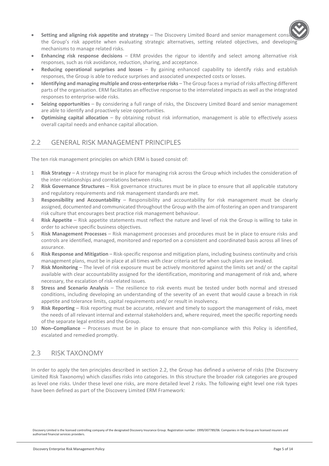

- **Setting and aligning risk appetite and strategy** The Discovery Limited Board and senior management consider the Group's risk appetite when evaluating strategic alternatives, setting related objectives, and developing mechanisms to manage related risks.
- **Enhancing risk response decisions**  ERM provides the rigour to identify and select among alternative risk responses, such as risk avoidance, reduction, sharing, and acceptance.
- **Reducing operational surprises and losses** By gaining enhanced capability to identify risks and establish responses, the Group is able to reduce surprises and associated unexpected costs or losses.
- **Identifying and managing multiple and cross-enterprise risks** The Group faces a myriad of risks affecting different parts of the organisation. ERM facilitates an effective response to the interrelated impacts as well as the integrated responses to enterprise-wide risks.
- **Seizing opportunities** By considering a full range of risks, the Discovery Limited Board and senior management are able to identify and proactively seize opportunities.
- **Optimising capital allocation** By obtaining robust risk information, management is able to effectively assess overall capital needs and enhance capital allocation.

#### <span id="page-4-0"></span>2.2 GENERAL RISK MANAGEMENT PRINCIPLES

The ten risk management principles on which ERM is based consist of:

- 1 **Risk Strategy** A strategy must be in place for managing risk across the Group which includes the consideration of the inter-relationships and correlations between risks.
- 2 **Risk Governance Structures** Risk governance structures must be in place to ensure that all applicable statutory and regulatory requirements and risk management standards are met.
- 3 **Responsibility and Accountability** Responsibility and accountability for risk management must be clearly assigned, documented and communicated throughout the Group with the aim of fostering an open and transparent risk culture that encourages best practice risk management behaviour.
- 4 **Risk Appetite** Risk appetite statements must reflect the nature and level of risk the Group is willing to take in order to achieve specific business objectives.
- 5 **Risk Management Processes** Risk management processes and procedures must be in place to ensure risks and controls are identified, managed, monitored and reported on a consistent and coordinated basis across all lines of assurance.
- 6 **Risk Response and Mitigation** Risk-specific response and mitigation plans, including business continuity and crisis management plans, must be in place at all times with clear criteria set for when such plans are invoked.
- 7 **Risk Monitoring** The level of risk exposure must be actively monitored against the limits set and/ or the capital available with clear accountability assigned for the identification, monitoring and management of risk and, where necessary, the escalation of risk-related issues.
- 8 **Stress and Scenario Analysis** The resilience to risk events must be tested under both normal and stressed conditions, including developing an understanding of the severity of an event that would cause a breach in risk appetite and tolerance limits, capital requirements and/ or result in insolvency.
- 9 **Risk Reporting** Risk reporting must be accurate, relevant and timely to support the management of risks, meet the needs of all relevant internal and external stakeholders and, where required, meet the specific reporting needs of the separate legal entities and the Group.
- 10 **Non–Compliance** Processes must be in place to ensure that non-compliance with this Policy is identified, escalated and remedied promptly.

#### <span id="page-4-1"></span>2.3 RISK TAXONOMY

In order to apply the ten principles described in section 2.2, the Group has defined a universe of risks (the Discovery Limited Risk Taxonomy) which classifies risks into categories. In this structure the broader risk categories are grouped as level one risks. Under these level one risks, are more detailed level 2 risks. The following eight level one risk types have been defined as part of the Discovery Limited ERM Framework: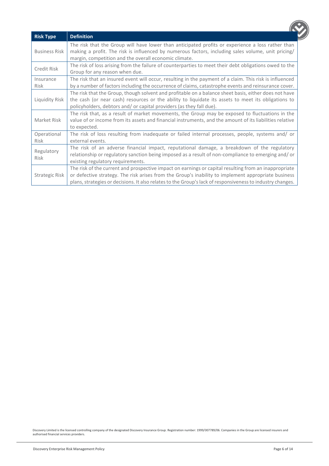<span id="page-5-0"></span>

| <b>Risk Type</b>                                                                                                                                                                                                                                                                                                                             | <b>Definition</b>                                                                                                                                                                                                                                                |  |
|----------------------------------------------------------------------------------------------------------------------------------------------------------------------------------------------------------------------------------------------------------------------------------------------------------------------------------------------|------------------------------------------------------------------------------------------------------------------------------------------------------------------------------------------------------------------------------------------------------------------|--|
| <b>Business Risk</b>                                                                                                                                                                                                                                                                                                                         | The risk that the Group will have lower than anticipated profits or experience a loss rather than<br>making a profit. The risk is influenced by numerous factors, including sales volume, unit pricing/<br>margin, competition and the overall economic climate. |  |
| Credit Risk                                                                                                                                                                                                                                                                                                                                  | The risk of loss arising from the failure of counterparties to meet their debt obligations owed to the<br>Group for any reason when due.                                                                                                                         |  |
| Insurance<br>Risk                                                                                                                                                                                                                                                                                                                            | The risk that an insured event will occur, resulting in the payment of a claim. This risk is influenced<br>by a number of factors including the occurrence of claims, catastrophe events and reinsurance cover.                                                  |  |
| The risk that the Group, though solvent and profitable on a balance sheet basis, either does not have<br>the cash (or near cash) resources or the ability to liquidate its assets to meet its obligations to<br>Liquidity Risk<br>policyholders, debtors and/ or capital providers (as they fall due).                                       |                                                                                                                                                                                                                                                                  |  |
| Market Risk                                                                                                                                                                                                                                                                                                                                  | The risk that, as a result of market movements, the Group may be exposed to fluctuations in the<br>value of or income from its assets and financial instruments, and the amount of its liabilities relative<br>to expected.                                      |  |
| Operational<br><b>Risk</b>                                                                                                                                                                                                                                                                                                                   | The risk of loss resulting from inadequate or failed internal processes, people, systems and/ or<br>external events.                                                                                                                                             |  |
| Regulatory<br>Risk                                                                                                                                                                                                                                                                                                                           | The risk of an adverse financial impact, reputational damage, a breakdown of the regulatory<br>relationship or regulatory sanction being imposed as a result of non-compliance to emerging and/ or<br>existing regulatory requirements.                          |  |
| The risk of the current and prospective impact on earnings or capital resulting from an inappropriate<br>or defective strategy. The risk arises from the Group's inability to implement appropriate business<br>Strategic Risk<br>plans, strategies or decisions. It also relates to the Group's lack of responsiveness to industry changes. |                                                                                                                                                                                                                                                                  |  |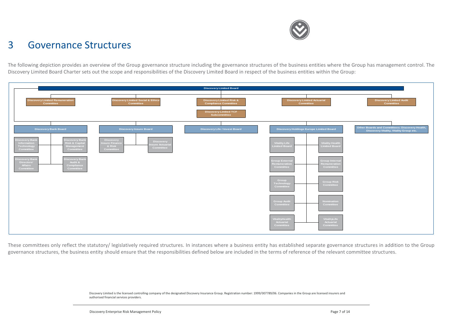

## 3 Governance Structures

The following depiction provides an overview of the Group governance structure including the governance structures of the business entities where the Group has management control. The Discovery Limited Board Charter sets out the scope and responsibilities of the Discovery Limited Board in respect of the business entities within the Group:



These committees only reflect the statutory/ legislatively required structures. In instances where a business entity has established separate governance structures in addition to the Group governance structures, the business entity should ensure that the responsibilities defined below are included in the terms of reference of the relevant committee structures.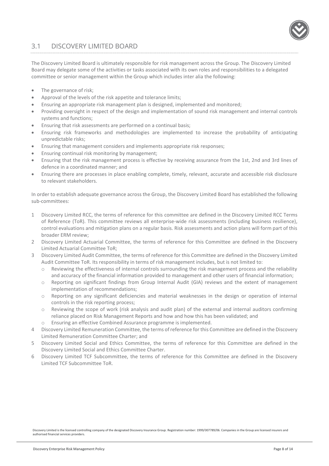#### <span id="page-7-0"></span>3.1 DISCOVERY LIMITED BOARD

The Discovery Limited Board is ultimately responsible for risk management across the Group. The Discovery Limited Board may delegate some of the activities or tasks associated with its own roles and responsibilities to a delegated committee or senior management within the Group which includes inter alia the following:

- The governance of risk:
- Approval of the levels of the risk appetite and tolerance limits;
- Ensuring an appropriate risk management plan is designed, implemented and monitored;
- Providing oversight in respect of the design and implementation of sound risk management and internal controls systems and functions;
- Ensuring that risk assessments are performed on a continual basis;
- Ensuring risk frameworks and methodologies are implemented to increase the probability of anticipating unpredictable risks;
- Ensuring that management considers and implements appropriate risk responses;
- Ensuring continual risk monitoring by management;
- Ensuring that the risk management process is effective by receiving assurance from the 1st, 2nd and 3rd lines of defence in a coordinated manner; and
- Ensuring there are processes in place enabling complete, timely, relevant, accurate and accessible risk disclosure to relevant stakeholders.

In order to establish adequate governance across the Group, the Discovery Limited Board has established the following sub-committees:

- 1 Discovery Limited RCC, the terms of reference for this committee are defined in the Discovery Limited RCC Terms of Reference (ToR). This committee reviews all enterprise-wide risk assessments (including business resilience), control evaluations and mitigation plans on a regular basis. Risk assessments and action plans will form part of this broader ERM review;
- 2 Discovery Limited Actuarial Committee, the terms of reference for this Committee are defined in the Discovery Limited Actuarial Committee ToR;
- 3 Discovery Limited Audit Committee, the terms of reference for this Committee are defined in the Discovery Limited Audit Committee ToR. Its responsibility in terms of risk management includes, but is not limited to:
	- o Reviewing the effectiveness of internal controls surrounding the risk management process and the reliability and accuracy of the financial information provided to management and other users of financial information;
	- o Reporting on significant findings from Group Internal Audit (GIA) reviews and the extent of management implementation of recommendations;
	- o Reporting on any significant deficiencies and material weaknesses in the design or operation of internal controls in the risk reporting process;
	- o Reviewing the scope of work (risk analysis and audit plan) of the external and internal auditors confirming reliance placed on Risk Management Reports and how and how this has been validated; and
	- Ensuring an effective Combined Assurance programme is implemented.
- 4 Discovery Limited Remuneration Committee, the terms of reference for this Committee are defined in the Discovery Limited Remuneration Committee Charter; and
- 5 Discovery Limited Social and Ethics Committee, the terms of reference for this Committee are defined in the Discovery Limited Social and Ethics Committee Charter.
- 6 Discovery Limited TCF Subcommittee, the terms of reference for this Committee are defined in the Discovery Limited TCF Subcommittee ToR.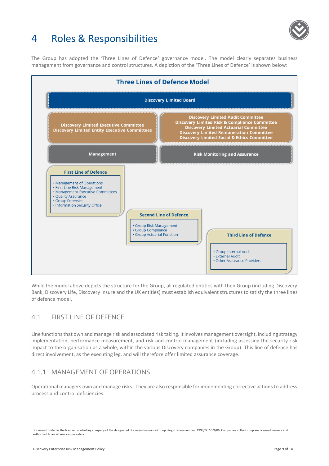

## <span id="page-8-0"></span>4 Roles & Responsibilities

The Group has adopted the 'Three Lines of Defence' governance model. The model clearly separates business management from governance and control structures. A depiction of the 'Three Lines of Defence' is shown below:



While the model above depicts the structure for the Group, all regulated entities with then Group (including Discovery Bank, Discovery Life, Discovery Insure and the UK entities) must establish equivalent structures to satisfy the three lines of defence model.

### <span id="page-8-1"></span>4.1 FIRST LINE OF DEFENCE

Line functions that own and manage risk and associated risk taking. It involves management oversight, including strategy implementation, performance measurement, and risk and control management (including assessing the security risk impact to the organisation as a whole, within the various Discovery companies in the Group). This line of defence has direct involvement, as the executing leg, and will therefore offer limited assurance coverage.

#### 4.1.1 MANAGEMENT OF OPERATIONS

Operational managers own and manage risks. They are also responsible for implementing corrective actions to address process and control deficiencies.

Discovery Limited is the licensed controlling company of the designated Discovery Insurance Group. Registration number: 1999/007789/06. Companies in the Group are licensed insurers and authorised financial services providers.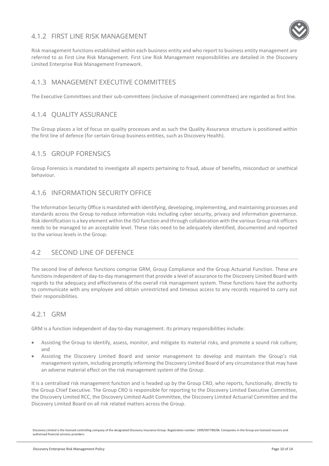#### 4.1.2 FIRST LINE RISK MANAGEMENT



Risk management functions established within each business entity and who report to business entity management are referred to as First Line Risk Management. First Line Risk Management responsibilities are detailed in the Discovery Limited Enterprise Risk Management Framework.

#### 4.1.3 MANAGEMENT EXECUTIVE COMMITTEES

The Executive Committees and their sub-committees (inclusive of management committees) are regarded as first line.

#### 4.1.4 QUALITY ASSURANCE

The Group places a lot of focus on quality processes and as such the Quality Assurance structure is positioned within the first line of defence (for certain Group business entities, such as Discovery Health).

#### 4.1.5 GROUP FORENSICS

Group Forensics is mandated to investigate all aspects pertaining to fraud, abuse of benefits, misconduct or unethical behaviour.

#### 4.1.6 INFORMATION SECURITY OFFICE

The Information Security Office is mandated with identifying, developing, implementing, and maintaining processes and standards across the Group to reduce information risks including cyber security, privacy and information governance. Risk identification is a key element within the ISO function and through collaboration with the various Group risk officers needs to be managed to an acceptable level. These risks need to be adequately identified, documented and reported to the various levels in the Group.

#### <span id="page-9-0"></span>4.2 SECOND LINE OF DEFENCE

The second line of defence functions comprise GRM, Group Compliance and the Group Actuarial Function. These are functions independent of day-to-day management that provide a level of assurance to the Discovery Limited Board with regards to the adequacy and effectiveness of the overall risk management system. These functions have the authority to communicate with any employee and obtain unrestricted and timeous access to any records required to carry out their responsibilities.

#### 4.2.1 GRM

GRM is a function independent of day-to-day management. Its primary responsibilities include:

- Assisting the Group to identify, assess, monitor, and mitigate its material risks, and promote a sound risk culture; and
- Assisting the Discovery Limited Board and senior management to develop and maintain the Group's risk management system, including promptly informing the Discovery Limited Board of any circumstance that may have an adverse material effect on the risk management system of the Group.

It is a centralised risk management function and is headed up by the Group CRO, who reports, functionally, directly to the Group Chief Executive. The Group CRO is responsible for reporting to the Discovery Limited Executive Committee, the Discovery Limited RCC, the Discovery Limited Audit Committee, the Discovery Limited Actuarial Committee and the Discovery Limited Board on all risk related matters across the Group.

Discovery Limited is the licensed controlling company of the designated Discovery Insurance Group. Registration number: 1999/007789/06. Companies in the Group are licensed insurers and authorised financial services providers.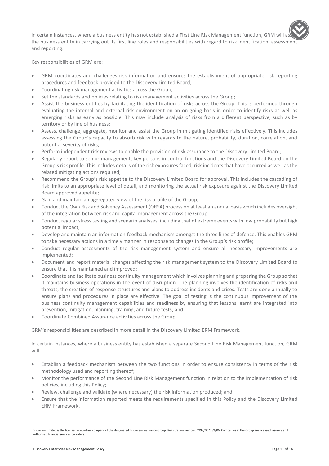In certain instances, where a business entity has not established a First Line Risk Management function, GRM wil the business entity in carrying out its first line roles and responsibilities with regard to risk identification, assessment and reporting.

Key responsibilities of GRM are:

- GRM coordinates and challenges risk information and ensures the establishment of appropriate risk reporting procedures and feedback provided to the Discovery Limited Board;
- Coordinating risk management activities across the Group;
- Set the standards and policies relating to risk management activities across the Group;
- Assist the business entities by facilitating the identification of risks across the Group. This is performed through evaluating the internal and external risk environment on an on-going basis in order to identify risks as well as emerging risks as early as possible. This may include analysis of risks from a different perspective, such as by territory or by line of business;
- Assess, challenge, aggregate, monitor and assist the Group in mitigating identified risks effectively. This includes assessing the Group's capacity to absorb risk with regards to the nature, probability, duration, correlation, and potential severity of risks;
- Perform independent risk reviews to enable the provision of risk assurance to the Discovery Limited Board;
- Regularly report to senior management, key persons in control functions and the Discovery Limited Board on the Group's risk profile. This includes details of the risk exposures faced, risk incidents that have occurred as well as the related mitigating actions required;
- Recommend the Group's risk appetite to the Discovery Limited Board for approval. This includes the cascading of risk limits to an appropriate level of detail, and monitoring the actual risk exposure against the Discovery Limited Board approved appetite;
- Gain and maintain an aggregated view of the risk profile of the Group;
- Conduct the Own Risk and Solvency Assessment (ORSA) process on at least an annual basis which includes oversight of the integration between risk and capital management across the Group;
- Conduct regular stress testing and scenario analyses, including that of extreme events with low probability but high potential impact;
- Develop and maintain an information feedback mechanism amongst the three lines of defence. This enables GRM to take necessary actions in a timely manner in response to changes in the Group's risk profile;
- Conduct regular assessments of the risk management system and ensure all necessary improvements are implemented;
- Document and report material changes affecting the risk management system to the Discovery Limited Board to ensure that it is maintained and improved;
- Coordinate and facilitate business continuity management which involves planning and preparing the Group so that it maintains business operations in the event of disruption. The planning involves the identification of risks and threats, the creation of response structures and plans to address incidents and crises. Tests are done annually to ensure plans and procedures in place are effective. The goal of testing is the continuous improvement of the business continuity management capabilities and readiness by ensuring that lessons learnt are integrated into prevention, mitigation, planning, training, and future tests; and
- Coordinate Combined Assurance activities across the Group.

GRM's responsibilities are described in more detail in the Discovery Limited ERM Framework.

In certain instances, where a business entity has established a separate Second Line Risk Management function, GRM will:

- Establish a feedback mechanism between the two functions in order to ensure consistency in terms of the risk methodology used and reporting thereof;
- Monitor the performance of the Second Line Risk Management function in relation to the implementation of risk policies, including this Policy;
- Review, challenge and validate (where necessary) the risk information produced; and
- Ensure that the information reported meets the requirements specified in this Policy and the Discovery Limited ERM Framework.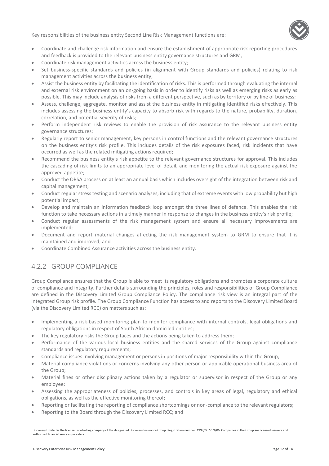Key responsibilities of the business entity Second Line Risk Management functions are:



- Coordinate and challenge risk information and ensure the establishment of appropriate risk reporting procedures and feedback is provided to the relevant business entity governance structures and GRM;
- Coordinate risk management activities across the business entity;
- Set business-specific standards and policies (in alignment with Group standards and policies) relating to risk management activities across the business entity;
- Assist the business entity by facilitating the identification of risks. This is performed through evaluating the internal and external risk environment on an on-going basis in order to identify risks as well as emerging risks as early as possible. This may include analysis of risks from a different perspective, such as by territory or by line of business;
- Assess, challenge, aggregate, monitor and assist the business entity in mitigating identified risks effectively. This includes assessing the business entity's capacity to absorb risk with regards to the nature, probability, duration, correlation, and potential severity of risks;
- Perform independent risk reviews to enable the provision of risk assurance to the relevant business entity governance structures;
- Regularly report to senior management, key persons in control functions and the relevant governance structures on the business entity's risk profile. This includes details of the risk exposures faced, risk incidents that have occurred as well as the related mitigating actions required;
- Recommend the business entity's risk appetite to the relevant governance structures for approval. This includes the cascading of risk limits to an appropriate level of detail, and monitoring the actual risk exposure against the approved appetite;
- Conduct the ORSA process on at least an annual basis which includes oversight of the integration between risk and capital management;
- Conduct regular stress testing and scenario analyses, including that of extreme events with low probability but high potential impact;
- Develop and maintain an information feedback loop amongst the three lines of defence. This enables the risk function to take necessary actions in a timely manner in response to changes in the business entity's risk profile;
- Conduct regular assessments of the risk management system and ensure all necessary improvements are implemented;
- Document and report material changes affecting the risk management system to GRM to ensure that it is maintained and improved; and
- Coordinate Combined Assurance activities across the business entity.

#### 4.2.2 GROUP COMPLIANCE

Group Compliance ensures that the Group is able to meet its regulatory obligations and promotes a corporate culture of compliance and integrity. Further details surrounding the principles, roles and responsibilities of Group Compliance are defined in the Discovery Limited Group Compliance Policy. The compliance risk view is an integral part of the integrated Group risk profile. The Group Compliance Function has access to and reports to the Discovery Limited Board (via the Discovery Limited RCC) on matters such as:

- Implementing a risk-based monitoring plan to monitor compliance with internal controls, legal obligations and regulatory obligations in respect of South African domiciled entities;
- The key regulatory risks the Group faces and the actions being taken to address them;
- Performance of the various local business entities and the shared services of the Group against compliance standards and regulatory requirements;
- Compliance issues involving management or persons in positions of major responsibility within the Group;
- Material compliance violations or concerns involving any other person or applicable operational business area of the Group;
- Material fines or other disciplinary actions taken by a regulator or supervisor in respect of the Group or any employee;
- Assessing the appropriateness of policies, processes, and controls in key areas of legal, regulatory and ethical obligations, as well as the effective monitoring thereof;
- Reporting or facilitating the reporting of compliance shortcomings or non-compliance to the relevant regulators;
- Reporting to the Board through the Discovery Limited RCC; and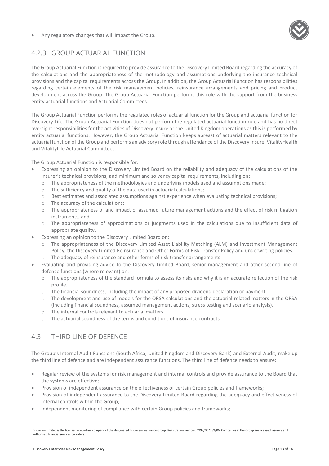Any regulatory changes that will impact the Group.



#### 4.2.3 GROUP ACTUARIAL FUNCTION

The Group Actuarial Function is required to provide assurance to the Discovery Limited Board regarding the accuracy of the calculations and the appropriateness of the methodology and assumptions underlying the insurance technical provisions and the capital requirements across the Group. In addition, the Group Actuarial Function has responsibilities regarding certain elements of the risk management policies, reinsurance arrangements and pricing and product development across the Group. The Group Actuarial Function performs this role with the support from the business entity actuarial functions and Actuarial Committees.

The Group Actuarial Function performs the regulated roles of actuarial function for the Group and actuarial function for Discovery Life. The Group Actuarial Function does not perform the regulated actuarial function role and has no direct oversight responsibilities for the activities of Discovery Insure or the United Kingdom operations as this is performed by entity actuarial functions. However, the Group Actuarial Function keeps abreast of actuarial matters relevant to the actuarial function of the Group and performs an advisory role through attendance of the Discovery Insure, VitalityHealth and VitalityLife Actuarial Committees.

The Group Actuarial Function is responsible for:

- Expressing an opinion to the Discovery Limited Board on the reliability and adequacy of the calculations of the insurer's technical provisions, and minimum and solvency capital requirements, including on:
	- o The appropriateness of the methodologies and underlying models used and assumptions made;
	- o The sufficiency and quality of the data used in actuarial calculations;
	- o Best estimates and associated assumptions against experience when evaluating technical provisions;
	- o The accuracy of the calculations;
	- $\circ$  The appropriateness of and impact of assumed future management actions and the effect of risk mitigation instruments; and
	- o The appropriateness of approximations or judgments used in the calculations due to insufficient data of appropriate quality.
- Expressing an opinion to the Discovery Limited Board on:
	- o The appropriateness of the Discovery Limited Asset Liability Matching (ALM) and Investment Management Policy, the Discovery Limited Reinsurance and Other Forms of Risk Transfer Policy and underwriting policies.
		- The adequacy of reinsurance and other forms of risk transfer arrangements.
- Evaluating and providing advice to the Discovery Limited Board, senior management and other second line of defence functions (where relevant) on:
	- o The appropriateness of the standard formula to assess its risks and why it is an accurate reflection of the risk profile.
	- o The financial soundness, including the impact of any proposed dividend declaration or payment.
	- o The development and use of models for the ORSA calculations and the actuarial-related matters in the ORSA (including financial soundness, assumed management actions, stress testing and scenario analysis).
	- o The internal controls relevant to actuarial matters.
	- o The actuarial soundness of the terms and conditions of insurance contracts.

#### <span id="page-12-0"></span>4.3 THIRD LINE OF DEFENCE

The Group's Internal Audit Functions (South Africa, United Kingdom and Discovery Bank) and External Audit, make up the third line of defence and are independent assurance functions. The third line of defence needs to ensure:

- Regular review of the systems for risk management and internal controls and provide assurance to the Board that the systems are effective;
- Provision of independent assurance on the effectiveness of certain Group policies and frameworks;
- Provision of independent assurance to the Discovery Limited Board regarding the adequacy and effectiveness of internal controls within the Group;
- Independent monitoring of compliance with certain Group policies and frameworks;